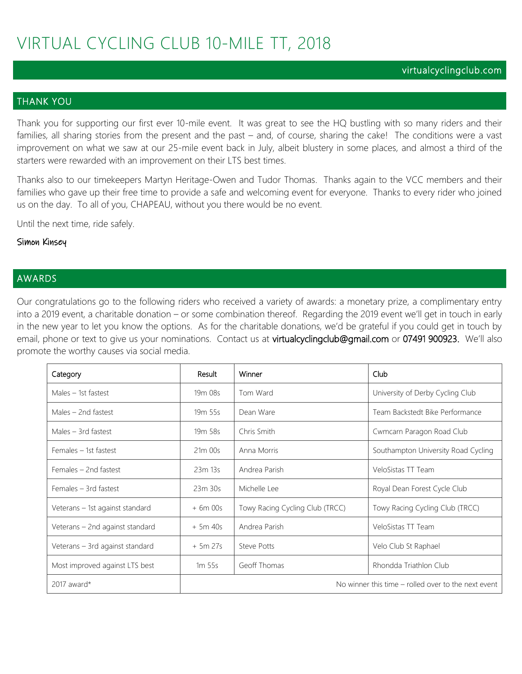#### virtualcyclingclub.com

### THANK YOU

Thank you for supporting our first ever 10-mile event. It was great to see the HQ bustling with so many riders and their families, all sharing stories from the present and the past – and, of course, sharing the cake! The conditions were a vast improvement on what we saw at our 25-mile event back in July, albeit blustery in some places, and almost a third of the starters were rewarded with an improvement on their LTS best times.

Thanks also to our timekeepers Martyn Heritage-Owen and Tudor Thomas. Thanks again to the VCC members and their families who gave up their free time to provide a safe and welcoming event for everyone. Thanks to every rider who joined us on the day. To all of you, CHAPEAU, without you there would be no event.

Until the next time, ride safely.

#### Simon Kinsey

#### AWARDS

Our congratulations go to the following riders who received a variety of awards: a monetary prize, a complimentary entry into a 2019 event, a charitable donation – or some combination thereof. Regarding the 2019 event we'll get in touch in early in the new year to let you know the options. As for the charitable donations, we'd be grateful if you could get in touch by email, phone or text to give us your nominations. Contact us at virtualcyclingclub@gmail.com or 07491 900923. We'll also promote the worthy causes via social media.

| Category                        | Result              | Winner                                                | Club                                |  |  |
|---------------------------------|---------------------|-------------------------------------------------------|-------------------------------------|--|--|
| Males $-$ 1st fastest           | 19 <sub>m</sub> 08s | Tom Ward                                              | University of Derby Cycling Club    |  |  |
| Males $-$ 2nd fastest           | 19 <sub>m</sub> 55s | Dean Ware                                             | Team Backstedt Bike Performance     |  |  |
| Males $-$ 3rd fastest           | 19 <sub>m</sub> 58s | Chris Smith                                           | Cwmcarn Paragon Road Club           |  |  |
| Females - 1st fastest           | 21m 00s             | Anna Morris                                           | Southampton University Road Cycling |  |  |
| Females - 2nd fastest           | 23m 13s             | Andrea Parish                                         | VeloSistas TT Team                  |  |  |
| Females - 3rd fastest           | 23m 30s             | Michelle Lee                                          | Royal Dean Forest Cycle Club        |  |  |
| Veterans – 1st against standard | $+6m00s$            | Towy Racing Cycling Club (TRCC)                       | Towy Racing Cycling Club (TRCC)     |  |  |
| Veterans - 2nd against standard | $+5m40s$            | Andrea Parish                                         | VeloSistas TT Team                  |  |  |
| Veterans - 3rd against standard | $+5m27s$            | <b>Steve Potts</b>                                    | Velo Club St Raphael                |  |  |
| Most improved against LTS best  | 1m <sub>55s</sub>   | Geoff Thomas                                          | Rhondda Triathlon Club              |  |  |
| 2017 award*                     |                     | No winner this time $-$ rolled over to the next event |                                     |  |  |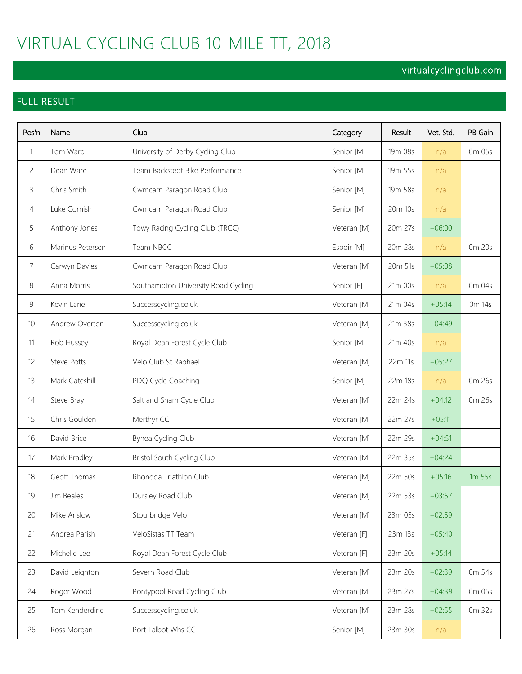# VIRTUAL CYCLING CLUB 10-MILE TT, 2018

# virtualcyclingclub.com

# FULL RESULT

| Pos'n          | Name               | Club                                | Category    | Result  | Vet. Std. | PB Gain           |
|----------------|--------------------|-------------------------------------|-------------|---------|-----------|-------------------|
| 1              | Tom Ward           | University of Derby Cycling Club    | Senior [M]  | 19m 08s | n/a       | 0m 05s            |
| 2              | Dean Ware          | Team Backstedt Bike Performance     | Senior [M]  | 19m 55s | n/a       |                   |
| 3              | Chris Smith        | Cwmcarn Paragon Road Club           | Senior [M]  | 19m 58s | n/a       |                   |
| 4              | Luke Cornish       | Cwmcarn Paragon Road Club           | Senior [M]  | 20m 10s | n/a       |                   |
| 5              | Anthony Jones      | Towy Racing Cycling Club (TRCC)     | Veteran [M] | 20m 27s | $+06:00$  |                   |
| 6              | Marinus Petersen   | Team NBCC                           | Espoir [M]  | 20m 28s | n/a       | 0m 20s            |
| $\overline{7}$ | Carwyn Davies      | Cwmcarn Paragon Road Club           | Veteran [M] | 20m 51s | $+05:08$  |                   |
| 8              | Anna Morris        | Southampton University Road Cycling | Senior [F]  | 21m 00s | n/a       | 0m 04s            |
| $\mathsf 9$    | Kevin Lane         | Successcycling.co.uk                | Veteran [M] | 21m 04s | $+05:14$  | 0m 14s            |
| 10             | Andrew Overton     | Successcycling.co.uk                | Veteran [M] | 21m 38s | $+04:49$  |                   |
| 11             | Rob Hussey         | Royal Dean Forest Cycle Club        | Senior [M]  | 21m 40s | n/a       |                   |
| 12             | <b>Steve Potts</b> | Velo Club St Raphael                | Veteran [M] | 22m 11s | $+05:27$  |                   |
| 13             | Mark Gateshill     | PDQ Cycle Coaching                  | Senior [M]  | 22m 18s | n/a       | 0m 26s            |
| 14             | Steve Bray         | Salt and Sham Cycle Club            | Veteran [M] | 22m 24s | $+04:12$  | 0m 26s            |
| 15             | Chris Goulden      | Merthyr CC                          | Veteran [M] | 22m 27s | $+05:11$  |                   |
| 16             | David Brice        | Bynea Cycling Club                  | Veteran [M] | 22m 29s | $+04:51$  |                   |
| 17             | Mark Bradley       | Bristol South Cycling Club          | Veteran [M] | 22m 35s | $+04:24$  |                   |
| 18             | Geoff Thomas       | Rhondda Triathlon Club              | Veteran [M] | 22m 50s | $+05:16$  | 1m <sub>55s</sub> |
| 19             | Jim Beales         | Dursley Road Club                   | Veteran [M] | 22m 53s | $+03:57$  |                   |
| 20             | Mike Anslow        | Stourbridge Velo                    | Veteran [M] | 23m 05s | $+02:59$  |                   |
| 21             | Andrea Parish      | VeloSistas TT Team                  | Veteran [F] | 23m 13s | $+05:40$  |                   |
| 22             | Michelle Lee       | Royal Dean Forest Cycle Club        | Veteran [F] | 23m 20s | $+05:14$  |                   |
| 23             | David Leighton     | Severn Road Club                    | Veteran [M] | 23m 20s | $+02:39$  | 0m 54s            |
| 24             | Roger Wood         | Pontypool Road Cycling Club         | Veteran [M] | 23m 27s | $+04:39$  | 0m 05s            |
| 25             | Tom Kenderdine     | Successcycling.co.uk                | Veteran [M] | 23m 28s | $+02:55$  | 0m 32s            |
| 26             | Ross Morgan        | Port Talbot Whs CC                  | Senior [M]  | 23m 30s | n/a       |                   |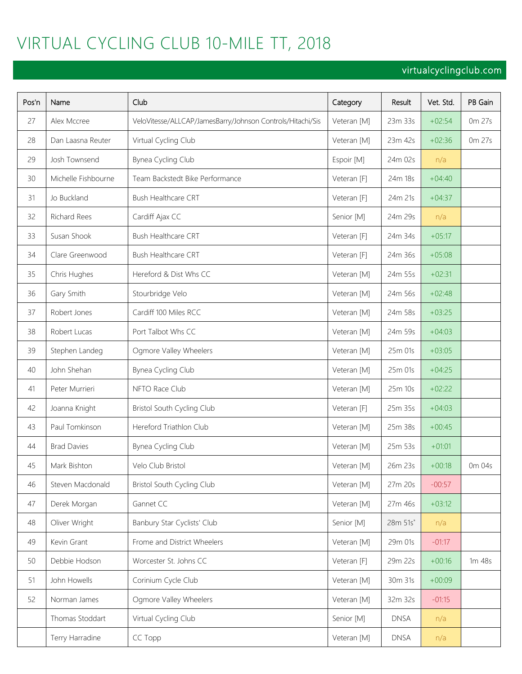# VIRTUAL CYCLING CLUB 10-MILE TT, 2018

# virtualcyclingclub.com

| Pos'n | Name                | Club                                                       | Category    | Result      | Vet. Std. | PB Gain |
|-------|---------------------|------------------------------------------------------------|-------------|-------------|-----------|---------|
| 27    | Alex Mccree         | VeloVitesse/ALLCAP/JamesBarry/Johnson Controls/Hitachi/Sis | Veteran [M] | 23m 33s     | $+02:54$  | 0m 27s  |
| 28    | Dan Laasna Reuter   | Virtual Cycling Club                                       | Veteran [M] | 23m 42s     | $+02:36$  | 0m 27s  |
| 29    | Josh Townsend       | Bynea Cycling Club                                         | Espoir [M]  | 24m 02s     | n/a       |         |
| 30    | Michelle Fishbourne | Team Backstedt Bike Performance                            | Veteran [F] | 24m 18s     | $+04:40$  |         |
| 31    | Jo Buckland         | Bush Healthcare CRT                                        | Veteran [F] | 24m 21s     | $+04:37$  |         |
| 32    | Richard Rees        | Cardiff Ajax CC                                            | Senior [M]  | 24m 29s     | n/a       |         |
| 33    | Susan Shook         | Bush Healthcare CRT                                        | Veteran [F] | 24m 34s     | $+05:17$  |         |
| 34    | Clare Greenwood     | Bush Healthcare CRT                                        | Veteran [F] | 24m 36s     | $+05:08$  |         |
| 35    | Chris Hughes        | Hereford & Dist Whs CC                                     | Veteran [M] | 24m 55s     | $+02:31$  |         |
| 36    | Gary Smith          | Stourbridge Velo                                           | Veteran [M] | 24m 56s     | $+02:48$  |         |
| 37    | Robert Jones        | Cardiff 100 Miles RCC                                      | Veteran [M] | 24m 58s     | $+03:25$  |         |
| 38    | Robert Lucas        | Port Talbot Whs CC                                         | Veteran [M] | 24m 59s     | $+04:03$  |         |
| 39    | Stephen Landeg      | Ogmore Valley Wheelers                                     | Veteran [M] | 25m 01s     | $+03:05$  |         |
| 40    | John Shehan         | Bynea Cycling Club                                         | Veteran [M] | 25m 01s     | $+04:25$  |         |
| 41    | Peter Murrieri      | NFTO Race Club                                             | Veteran [M] | 25m 10s     | $+02:22$  |         |
| 42    | Joanna Knight       | Bristol South Cycling Club                                 | Veteran [F] | 25m 35s     | $+04:03$  |         |
| 43    | Paul Tomkinson      | Hereford Triathlon Club                                    | Veteran [M] | 25m 38s     | $+00:45$  |         |
| 44    | <b>Brad Davies</b>  | Bynea Cycling Club                                         | Veteran [M] | 25m 53s     | $+01:01$  |         |
| 45    | Mark Bishton        | Velo Club Bristol                                          | Veteran [M] | 26m 23s     | $+00:18$  | 0m 04s  |
| 46    | Steven Macdonald    | Bristol South Cycling Club                                 | Veteran [M] | 27m 20s     | $-00:57$  |         |
| 47    | Derek Morgan        | Gannet CC                                                  | Veteran [M] | 27m 46s     | $+03:12$  |         |
| 48    | Oliver Wright       | Banbury Star Cyclists' Club                                | Senior [M]  | 28m 51s*    | n/a       |         |
| 49    | Kevin Grant         | Frome and District Wheelers                                | Veteran [M] | 29m 01s     | $-01:17$  |         |
| 50    | Debbie Hodson       | Worcester St. Johns CC                                     | Veteran [F] | 29m 22s     | $+00:16$  | 1m 48s  |
| 51    | John Howells        | Corinium Cycle Club                                        | Veteran [M] | 30m 31s     | $+00:09$  |         |
| 52    | Norman James        | Ogmore Valley Wheelers                                     | Veteran [M] | 32m 32s     | $-01:15$  |         |
|       | Thomas Stoddart     | Virtual Cycling Club                                       | Senior [M]  | <b>DNSA</b> | n/a       |         |
|       | Terry Harradine     | CC Topp                                                    | Veteran [M] | <b>DNSA</b> | n/a       |         |